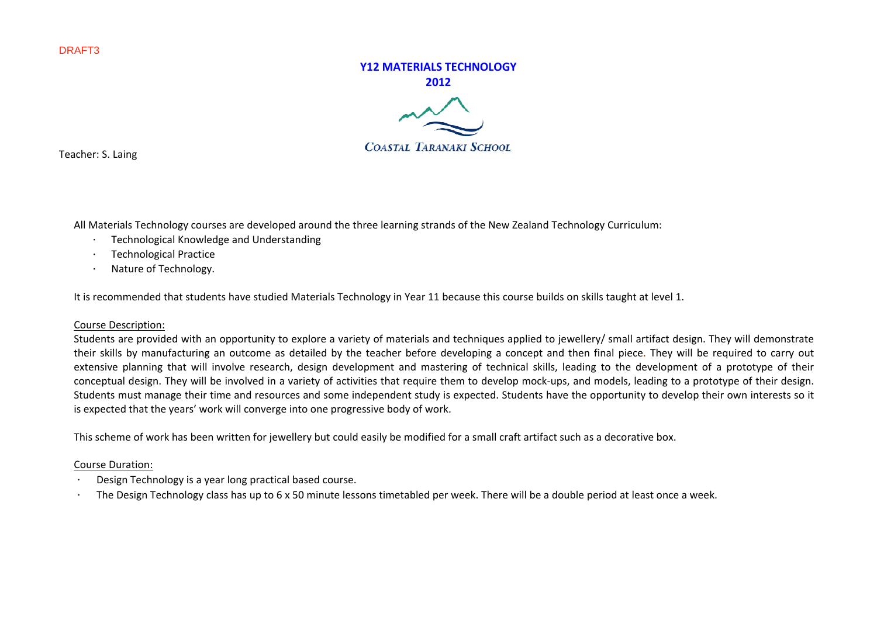# **Y12 MATERIALS TECHNOLOGY2012COASTAL TARANAKI SCHOOL**

Teacher: S. Laing

All Materials Technology courses are developed around the three learning strands of the New Zealand Technology Curriculum:

- · Technological Knowledge and Understanding
- · Technological Practice
- · Nature of Technology.

It is recommended that students have studied Materials Technology in Year 11 because this course builds on skills taught at level 1.

## Course Description:

Students are provided with an opportunity to explore <sup>a</sup> variety of materials and techniques applied to jewellery/ small artifact design. They will demonstrate their skills by manufacturing an outcome as detailed by the teacher before developing <sup>a</sup> concept and then final piece. They will be required to carry out extensive planning that will involve research, design development and mastering of technical skills, leading to the development of <sup>a</sup> prototype of their conceptual design. They will be involved in <sup>a</sup> variety of activities that require them to develop mock‐ups, and models, leading to <sup>a</sup> prototype of their design. Students must manage their time and resources and some independent study is expected. Students have the opportunity to develop their own interests so it is expected that the years' work will converge into one progressive body of work.

This scheme of work has been written for jewellery but could easily be modified for <sup>a</sup> small craft artifact such as <sup>a</sup> decorative box.

## Course Duration:

- Design Technology is <sup>a</sup> year long practical based course.
- ∙The Design Technology class has up to 6 x 50 minute lessons timetabled per week. There will be a double period at least once a week.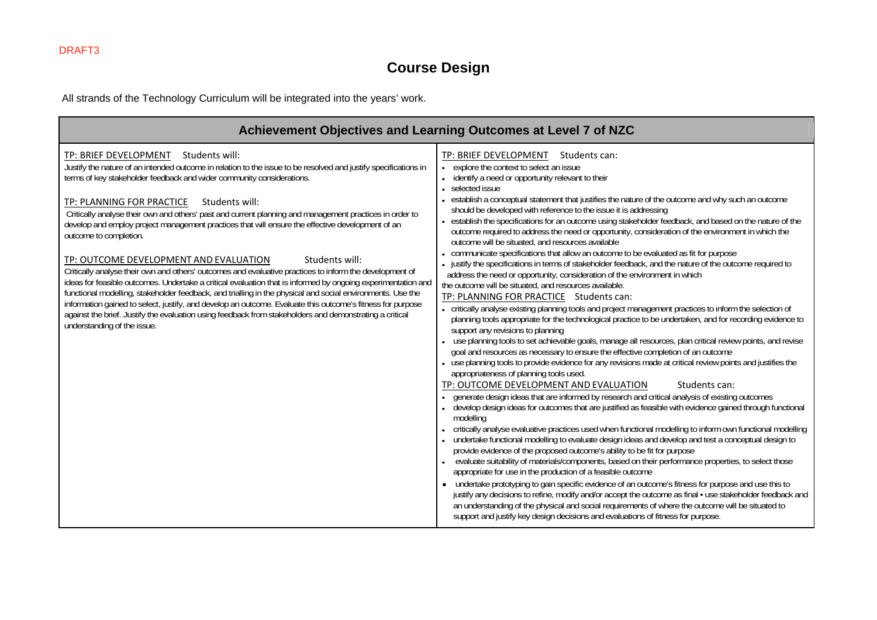## **Course Design**

All strands of the Technology Curriculum will be integrated into the years' work.

| Achievement Objectives and Learning Outcomes at Level 7 of NZC                                                                                                                                                                                                                                                                                                                                                                                                                                                                                                                                                                                                                                                                                                                                                                                                                                                                                                                                                                                                                                                                                                                           |                                                                                                                                                                                                                                                                                                                                                                                                                                                                                                                                                                                                                                                                                                                                                                                                                                                                                                                                                                                                                                                                                                                                                                                                                                                                                                                                                                                                                                                                                                                                                                                                                                                                                                                                                                                                                                                                                                                                                                                                                                                                                                                                                                                                                                                                                                                                                                                                                                                                                                                                                                                                                                                                                                                                                                                               |  |  |  |  |  |
|------------------------------------------------------------------------------------------------------------------------------------------------------------------------------------------------------------------------------------------------------------------------------------------------------------------------------------------------------------------------------------------------------------------------------------------------------------------------------------------------------------------------------------------------------------------------------------------------------------------------------------------------------------------------------------------------------------------------------------------------------------------------------------------------------------------------------------------------------------------------------------------------------------------------------------------------------------------------------------------------------------------------------------------------------------------------------------------------------------------------------------------------------------------------------------------|-----------------------------------------------------------------------------------------------------------------------------------------------------------------------------------------------------------------------------------------------------------------------------------------------------------------------------------------------------------------------------------------------------------------------------------------------------------------------------------------------------------------------------------------------------------------------------------------------------------------------------------------------------------------------------------------------------------------------------------------------------------------------------------------------------------------------------------------------------------------------------------------------------------------------------------------------------------------------------------------------------------------------------------------------------------------------------------------------------------------------------------------------------------------------------------------------------------------------------------------------------------------------------------------------------------------------------------------------------------------------------------------------------------------------------------------------------------------------------------------------------------------------------------------------------------------------------------------------------------------------------------------------------------------------------------------------------------------------------------------------------------------------------------------------------------------------------------------------------------------------------------------------------------------------------------------------------------------------------------------------------------------------------------------------------------------------------------------------------------------------------------------------------------------------------------------------------------------------------------------------------------------------------------------------------------------------------------------------------------------------------------------------------------------------------------------------------------------------------------------------------------------------------------------------------------------------------------------------------------------------------------------------------------------------------------------------------------------------------------------------------------------------------------------------|--|--|--|--|--|
| Students will:<br>TP: BRIEF DEVELOPMENT<br>Justify the nature of an intended outcome in relation to the issue to be resolved and justify specifications in<br>terms of key stakeholder feedback and wider community considerations.<br>TP: PLANNING FOR PRACTICE<br>Students will:<br>Critically analyse their own and others' past and current planning and management practices in order to<br>develop and employ project management practices that will ensure the effective development of an<br>outcome to completion.<br>TP: OUTCOME DEVELOPMENT AND EVALUATION<br>Students will:<br>Critically analyse their own and others' outcomes and evaluative practices to inform the development of<br>ideas for feasible outcomes. Undertake a critical evaluation that is informed by ongoing experimentation and<br>functional modelling, stakeholder feedback, and trialling in the physical and social environments. Use the<br>information gained to select, justify, and develop an outcome. Evaluate this outcome's fitness for purpose<br>against the brief. Justify the evaluation using feedback from stakeholders and demonstrating a critical<br>understanding of the issue. | TP: BRIEF DEVELOPMENT<br>Students can:<br>explore the context to select an issue<br>identify a need or opportunity relevant to their<br>selected issue<br>establish a conceptual statement that justifies the nature of the outcome and why such an outcome<br>should be developed with reference to the issue it is addressing<br>establish the specifications for an outcome using stakeholder feedback, and based on the nature of the<br>outcome required to address the need or opportunity, consideration of the environment in which the<br>outcome will be situated, and resources available<br>communicate specifications that allow an outcome to be evaluated as fit for purpose<br>- justify the specifications in terms of stakeholder feedback, and the nature of the outcome required to<br>address the need or opportunity, consideration of the environment in which<br>the outcome will be situated, and resources available.<br>TP: PLANNING FOR PRACTICE Students can:<br>- critically analyse existing planning tools and project management practices to inform the selection of<br>planning tools appropriate for the technological practice to be undertaken, and for recording evidence to<br>support any revisions to planning<br>use planning tools to set achievable goals, manage all resources, plan critical review points, and revise<br>goal and resources as necessary to ensure the effective completion of an outcome<br>use planning tools to provide evidence for any revisions made at critical review points and justifies the<br>appropriateness of planning tools used.<br>TP: OUTCOME DEVELOPMENT AND EVALUATION<br>Students can:<br>generate design ideas that are informed by research and critical analysis of existing outcomes<br>develop design ideas for outcomes that are justified as feasible with evidence gained through functional<br>modelling<br>critically analyse evaluative practices used when functional modelling to inform own functional modelling<br>undertake functional modelling to evaluate design ideas and develop and test a conceptual design to<br>provide evidence of the proposed outcome's ability to be fit for purpose<br>evaluate suitability of materials/components, based on their performance properties, to select those<br>appropriate for use in the production of a feasible outcome<br>• undertake prototyping to gain specific evidence of an outcome's fitness for purpose and use this to<br>justify any decisions to refine, modify and/or accept the outcome as final • use stakeholder feedback and<br>an understanding of the physical and social requirements of where the outcome will be situated to<br>support and justify key design decisions and evaluations of fitness for purpose. |  |  |  |  |  |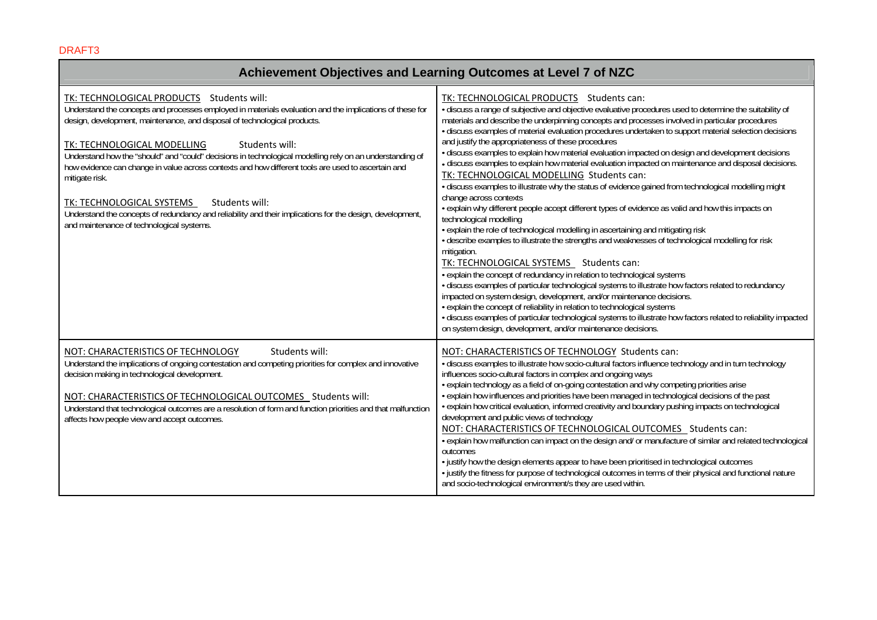#### **Achievement Objectives and Learning Outcomes at Level 7 of NZC**  TK: TECHNOLOGICAL PRODUCTS Students will: Understand the concepts and processes employed in materials evaluation and the implications of these for design, development, maintenance, and disposal of technological products. TK: TECHNOLOGICAL MODELLING Students will: Understand how the "should" and "could" decisions in technological modelling rely on an understanding of how evidence can change in value across contexts and how different tools are used to ascertain and mitigate risk. TK: TECHNOLOGICAL SYSTEMS Students will: Understand the concepts of redundancy and reliability and their implications for the design, development, and maintenance of technological systems. TK: TECHNOLOGICAL PRODUCTS Students can: • discuss a range of subjective and objective evaluative procedures used to determine the suitability of materials and describe the underpinning concepts and processes involved in particular procedures • discuss examples of material evaluation procedures undertaken to support material selection decisions and justify the appropriateness of these procedures • discuss examples to explain how material evaluation impacted on design and development decisions • discuss examples to explain how material evaluation impacted on maintenance and disposal decisions. TK: TECHNOLOGICAL MODELLING Students can: • discuss examples to illustrate why the status of evidence gained from technological modelling might change across contexts • explain why different people accept different types of evidence as valid and how this impacts on technological modelling • explain the role of technological modelling in ascertaining and mitigating risk • describe examples to illustrate the strengths and weaknesses of technological modelling for risk mitigation. TK: TECHNOLOGICAL SYSTEMS Students can: • explain the concept of redundancy in relation to technological systems • discuss examples of particular technological systems to illustrate how factors related to redundancy impacted on system design, development, and/or maintenance decisions. • explain the concept of reliability in relation to technological systems • discuss examples of particular technological systems to illustrate how factors related to reliability impacted on system design, development, and/or maintenance decisions. NOT: CHARACTERISTICS OF TECHNOLOGY Students will: Understand the implications of ongoing contestation and competing priorities for complex and innovative decision making in technological development. NOT: CHARACTERISTICS OF TECHNOLOGICAL OUTCOMES Students will: Understand that technological outcomes are a resolution of form and function priorities and that malfunction affects how people view and accept outcomes. NOT: CHARACTERISTICS OF TECHNOLOGY Students can: • discuss examples to illustrate how socio-cultural factors influence technology and in turn technology influences socio-cultural factors in complex and ongoing ways • explain technology as a field of on-going contestation and why competing priorities arise • explain how influences and priorities have been managed in technological decisions of the past • explain how critical evaluation, informed creativity and boundary pushing impacts on technological development and public views of technology NOT: CHARACTERISTICS OF TECHNOLOGICAL OUTCOMES Students can: • explain how malfunction can impact on the design and/ or manufacture of similar and related technological outcomes • justify how the design elements appear to have been prioritised in technological outcomes • justify the fitness for purpose of technological outcomes in terms of their physical and functional nature and socio-technological environment/s they are used within.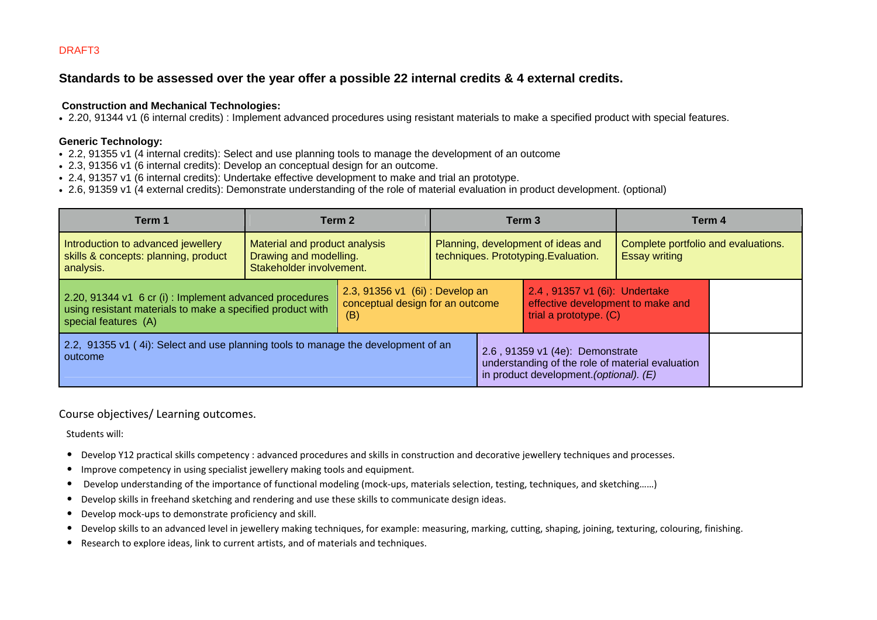## **Standards to be assessed over the year offer a possible 22 internal credits & 4 external credits.**

## **Construction and Mechanical Technologies:**

• 2.20, 91344 v1 (6 internal credits) : Implement advanced procedures using resistant materials to make a specified product with special features.

## **Generic Technology:**

- 2.2, 91355 v1 (4 internal credits): Select and use planning tools to manage the development of an outcome
- 2.3, 91356 v1 (6 internal credits): Develop an conceptual design for an outcome.
- 2.4, 91357 v1 (6 internal credits): Undertake effective development to make and trial an prototype.
- 2.6, 91359 v1 (4 external credits): Demonstrate understanding of the role of material evaluation in product development. (optional)

| Term 1                                                                                                                                                                                                                     | Term 2                                                                              |                                                                                              | Term 3                                                                                                                         |  | Term 4                                                      |  |
|----------------------------------------------------------------------------------------------------------------------------------------------------------------------------------------------------------------------------|-------------------------------------------------------------------------------------|----------------------------------------------------------------------------------------------|--------------------------------------------------------------------------------------------------------------------------------|--|-------------------------------------------------------------|--|
| Introduction to advanced jewellery<br>skills & concepts: planning, product<br>analysis.                                                                                                                                    | Material and product analysis<br>Drawing and modelling.<br>Stakeholder involvement. |                                                                                              | Planning, development of ideas and<br>techniques. Prototyping. Evaluation.                                                     |  | Complete portfolio and evaluations.<br><b>Essay writing</b> |  |
| 2.3, 91356 v1 (6i): Develop an<br>2.20, 91344 v1 6 cr (i) : Implement advanced procedures<br>conceptual design for an outcome<br>using resistant materials to make a specified product with<br>(B)<br>special features (A) |                                                                                     | 2.4, 91357 v1 (6i): Undertake<br>effective development to make and<br>trial a prototype. (C) |                                                                                                                                |  |                                                             |  |
| 2.2, 91355 v1 (4i): Select and use planning tools to manage the development of an<br>outcome                                                                                                                               |                                                                                     |                                                                                              | 2.6, 91359 v1 (4e): Demonstrate<br>understanding of the role of material evaluation<br>in product development. (optional). (E) |  |                                                             |  |

## Course objectives/ Learning outcomes.

Students will:

- •Develop Y12 practical skills competency : advanced procedures and skills in construction and decorative jewellery techniques and processes.
- •Improve competency in using specialist jewellery making tools and equipment.
- •Develop understanding of the importance of functional modeling (mock-ups, materials selection, testing, techniques, and sketching......)
- •Develop skills in freehand sketching and rendering and use these skills to communicate design ideas.
- •Develop mock‐ups to demonstrate proficiency and skill.
- •Develop skills to an advanced level in jewellery making techniques, for example: measuring, marking, cutting, shaping, joining, texturing, colouring, finishing.
- •Research to explore ideas, link to current artists, and of materials and techniques.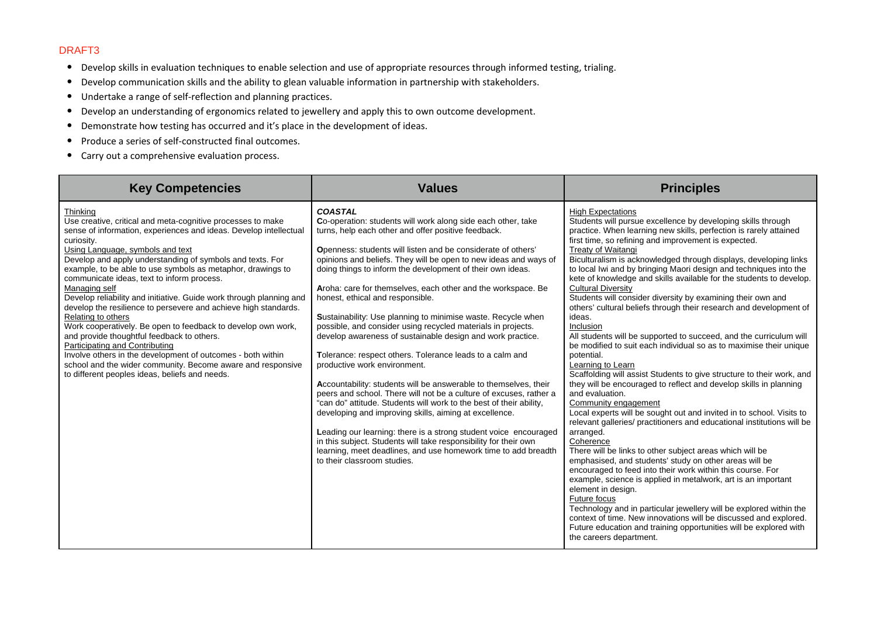- Develop skills in evaluation techniques to enable selection and use of appropriate resources through informed testing, trialing.
- $\bullet$ Develop communication skills and the ability to glean valuable information in partnership with stakeholders.
- •Undertake <sup>a</sup> range of self‐reflection and planning practices.
- •Develop an understanding of ergonomics related to jewellery and apply this to own outcome development.
- $\bullet$ **•** Demonstrate how testing has occurred and it's place in the development of ideas.
- $\bullet$ ● Produce a series of self-constructed final outcomes.
- Carry out <sup>a</sup> comprehensive evaluation process.

| <b>Key Competencies</b>                                                                                                                                                                                                                                                                                                                                                                                                                                                                                                                                                                                                                                                                                                                                                                                                                                                                          | <b>Values</b>                                                                                                                                                                                                                                                                                                                                                                                                                                                                                                                                                                                                                                                                                                                                                                                                                                                                                                                                                                                                                                                                                                                                                                                                                                                     | <b>Principles</b>                                                                                                                                                                                                                                                                                                                                                                                                                                                                                                                                                                                                                                                                                                                                                                                                                                                                                                                                                                                                                                                                                                                                                                                                                                                                                                                                                                                                                                                                                                                                                                                                                                                                                                                                    |
|--------------------------------------------------------------------------------------------------------------------------------------------------------------------------------------------------------------------------------------------------------------------------------------------------------------------------------------------------------------------------------------------------------------------------------------------------------------------------------------------------------------------------------------------------------------------------------------------------------------------------------------------------------------------------------------------------------------------------------------------------------------------------------------------------------------------------------------------------------------------------------------------------|-------------------------------------------------------------------------------------------------------------------------------------------------------------------------------------------------------------------------------------------------------------------------------------------------------------------------------------------------------------------------------------------------------------------------------------------------------------------------------------------------------------------------------------------------------------------------------------------------------------------------------------------------------------------------------------------------------------------------------------------------------------------------------------------------------------------------------------------------------------------------------------------------------------------------------------------------------------------------------------------------------------------------------------------------------------------------------------------------------------------------------------------------------------------------------------------------------------------------------------------------------------------|------------------------------------------------------------------------------------------------------------------------------------------------------------------------------------------------------------------------------------------------------------------------------------------------------------------------------------------------------------------------------------------------------------------------------------------------------------------------------------------------------------------------------------------------------------------------------------------------------------------------------------------------------------------------------------------------------------------------------------------------------------------------------------------------------------------------------------------------------------------------------------------------------------------------------------------------------------------------------------------------------------------------------------------------------------------------------------------------------------------------------------------------------------------------------------------------------------------------------------------------------------------------------------------------------------------------------------------------------------------------------------------------------------------------------------------------------------------------------------------------------------------------------------------------------------------------------------------------------------------------------------------------------------------------------------------------------------------------------------------------------|
| Thinking<br>Use creative, critical and meta-cognitive processes to make<br>sense of information, experiences and ideas. Develop intellectual<br>curiosity.<br>Using Language, symbols and text<br>Develop and apply understanding of symbols and texts. For<br>example, to be able to use symbols as metaphor, drawings to<br>communicate ideas, text to inform process.<br>Managing self<br>Develop reliability and initiative. Guide work through planning and<br>develop the resilience to persevere and achieve high standards.<br>Relating to others<br>Work cooperatively. Be open to feedback to develop own work,<br>and provide thoughtful feedback to others.<br><b>Participating and Contributing</b><br>Involve others in the development of outcomes - both within<br>school and the wider community. Become aware and responsive<br>to different peoples ideas, beliefs and needs. | <b>COASTAL</b><br>Co-operation: students will work along side each other, take<br>turns, help each other and offer positive feedback.<br><b>O</b> penness: students will listen and be considerate of others'<br>opinions and beliefs. They will be open to new ideas and ways of<br>doing things to inform the development of their own ideas.<br>Aroha: care for themselves, each other and the workspace. Be<br>honest, ethical and responsible.<br>Sustainability: Use planning to minimise waste. Recycle when<br>possible, and consider using recycled materials in projects.<br>develop awareness of sustainable design and work practice.<br>Tolerance: respect others. Tolerance leads to a calm and<br>productive work environment.<br>Accountability: students will be answerable to themselves, their<br>peers and school. There will not be a culture of excuses, rather a<br>"can do" attitude. Students will work to the best of their ability,<br>developing and improving skills, aiming at excellence.<br>Leading our learning: there is a strong student voice encouraged<br>in this subject. Students will take responsibility for their own<br>learning, meet deadlines, and use homework time to add breadth<br>to their classroom studies. | <b>High Expectations</b><br>Students will pursue excellence by developing skills through<br>practice. When learning new skills, perfection is rarely attained<br>first time, so refining and improvement is expected.<br><b>Treaty of Waitangi</b><br>Biculturalism is acknowledged through displays, developing links<br>to local Iwi and by bringing Maori design and techniques into the<br>kete of knowledge and skills available for the students to develop.<br><b>Cultural Diversity</b><br>Students will consider diversity by examining their own and<br>others' cultural beliefs through their research and development of<br>ideas.<br>Inclusion<br>All students will be supported to succeed, and the curriculum will<br>be modified to suit each individual so as to maximise their unique<br>potential.<br>Learning to Learn<br>Scaffolding will assist Students to give structure to their work, and<br>they will be encouraged to reflect and develop skills in planning<br>and evaluation.<br>Community engagement<br>Local experts will be sought out and invited in to school. Visits to<br>relevant galleries/ practitioners and educational institutions will be<br>arranged.<br>Coherence<br>There will be links to other subject areas which will be<br>emphasised, and students' study on other areas will be<br>encouraged to feed into their work within this course. For<br>example, science is applied in metalwork, art is an important<br>element in design.<br>Future focus<br>Technology and in particular jewellery will be explored within the<br>context of time. New innovations will be discussed and explored.<br>Future education and training opportunities will be explored with<br>the careers department. |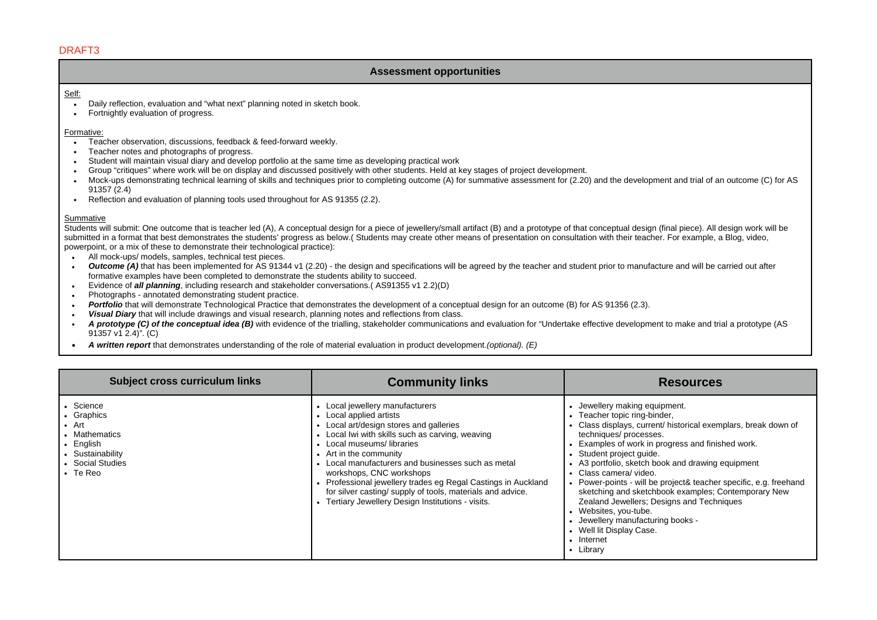## **Assessment opportunities**

#### Self:

- $\overline{\phantom{a}}$  Daily reflection, evaluation and "what next" planning noted in sketch book.
- Fortnightly evaluation of progress.

#### Formative:

- Teacher observation, discussions, feedback & feed-forward weekly.
- Teacher notes and photographs of progress.
- Student will maintain visual diary and develop portfolio at the same time as developing practical work
- Group "critiques" where work will be on display and discussed positively with other students. Held at key stages of project development.
- Mock-ups demonstrating technical learning of skills and techniques prior to completing outcome (A) for summative assessment for (2.20) and the development and trial of an outcome (C) for AS 91357 (2.4)
- Reflection and evaluation of planning tools used throughout for AS 91355 (2.2).

#### Summative

Students will submit: One outcome that is teacher led (A), A conceptual design for a piece of jewellery/small artifact (B) and a prototype of that conceptual design (final piece). All design work will be submitted in a format that best demonstrates the students' progress as below.( Students may create other means of presentation on consultation with their teacher. For example, a Blog, video, powerpoint, or a mix of these to demonstrate their technological practice):

- All mock-ups/ models, samples, technical test pieces.
- **Outcome (A)** that has been implemented for AS 91344 v1 (2.20) the design and specifications will be agreed by the teacher and student prior to manufacture and will be carried out after formative examples have been completed to demonstrate the students ability to succeed.
- Evidence of *all planning*, including research and stakeholder conversations.( AS91355 v1 2.2)(D)
- Photographs annotated demonstrating student practice.
- *Portfolio* that will demonstrate Technological Practice that demonstrates the development of a conceptual design for an outcome (B) for AS 91356 (2.3).
- *Visual Diary* that will include drawings and visual research, planning notes and reflections from class.
- A prototype (C) of the conceptual idea (B) with evidence of the trialling, stakeholder communications and evaluation for "Undertake effective development to make and trial a prototype (AS 91357 v1 2.4)". (C)
- *A written report* that demonstrates understanding of the role of material evaluation in product development.*(optional). (E)*

| Subject cross curriculum links                                                                                                           | <b>Community links</b>                                                                                                                                                                                                                                                                                                                                                                                                                                                             | <b>Resources</b>                                                                                                                                                                                                                                                                                                                                                                                                                                                                                                                                                                                             |
|------------------------------------------------------------------------------------------------------------------------------------------|------------------------------------------------------------------------------------------------------------------------------------------------------------------------------------------------------------------------------------------------------------------------------------------------------------------------------------------------------------------------------------------------------------------------------------------------------------------------------------|--------------------------------------------------------------------------------------------------------------------------------------------------------------------------------------------------------------------------------------------------------------------------------------------------------------------------------------------------------------------------------------------------------------------------------------------------------------------------------------------------------------------------------------------------------------------------------------------------------------|
| Science<br>• Graphics<br>$\bullet$ Art<br>• Mathematics<br>$\bullet$ English<br>• Sustainability<br>• Social Studies<br>$\bullet$ Te Reo | • Local jewellery manufacturers<br>• Local applied artists<br>• Local art/design stores and galleries<br>• Local Iwi with skills such as carving, weaving<br>• Local museums/libraries<br>• Art in the community<br>Local manufacturers and businesses such as metal<br>workshops, CNC workshops<br>Professional jewellery trades eg Regal Castings in Auckland<br>for silver casting/supply of tools, materials and advice.<br>• Tertiary Jewellery Design Institutions - visits. | Jewellery making equipment.<br>Teacher topic ring-binder,<br>Class displays, current/ historical exemplars, break down of<br>techniques/processes.<br>Examples of work in progress and finished work.<br>Student project quide.<br>• A3 portfolio, sketch book and drawing equipment<br>• Class camera/ video.<br>• Power-points - will be project& teacher specific, e.g. freehand<br>sketching and sketchbook examples; Contemporary New<br>Zealand Jewellers; Designs and Techniques<br>• Websites, you-tube.<br>• Jewellery manufacturing books -<br>• Well lit Display Case.<br>• Internet<br>• Library |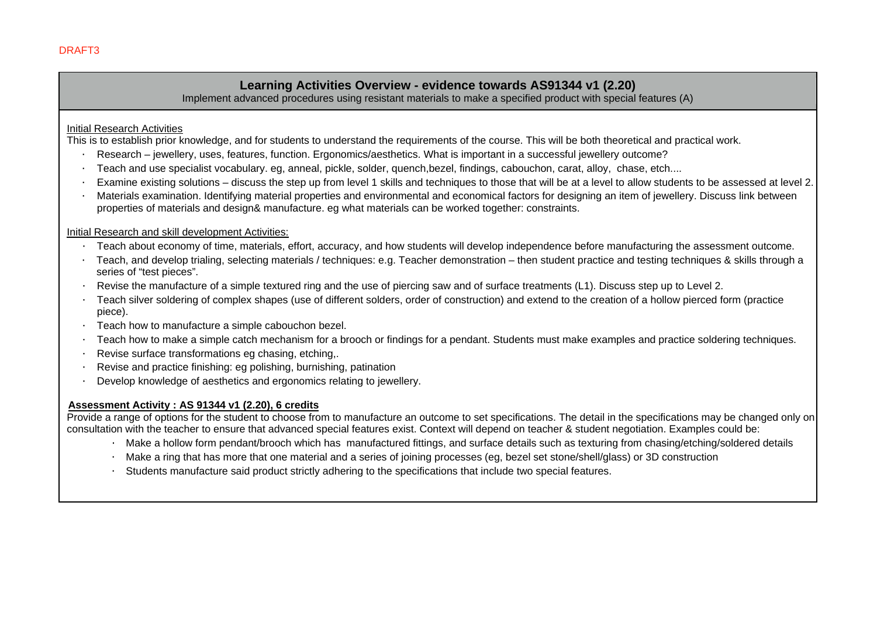## **Learning Activities Overview - evidence towards AS91344 v1 (2.20)**

Implement advanced procedures using resistant materials to make a specified product with special features (A)

## Initial Research Activities

This is to establish prior knowledge, and for students to understand the requirements of the course. This will be both theoretical and practical work.

- · Research jewellery, uses, features, function. Ergonomics/aesthetics. What is important in a successful jewellery outcome?
- · Teach and use specialist vocabulary. eg, anneal, pickle, solder, quench,bezel, findings, cabouchon, carat, alloy, chase, etch....
- · Examine existing solutions discuss the step up from level 1 skills and techniques to those that will be at a level to allow students to be assessed at level 2.
- · Materials examination. Identifying material properties and environmental and economical factors for designing an item of jewellery. Discuss link between properties of materials and design& manufacture. eg what materials can be worked together: constraints.

## Initial Research and skill development Activities:

- · Teach about economy of time, materials, effort, accuracy, and how students will develop independence before manufacturing the assessment outcome.
- · Teach, and develop trialing, selecting materials / techniques: e.g. Teacher demonstration then student practice and testing techniques & skills through a series of "test pieces".
- · Revise the manufacture of a simple textured ring and the use of piercing saw and of surface treatments (L1). Discuss step up to Level 2.
- · Teach silver soldering of complex shapes (use of different solders, order of construction) and extend to the creation of a hollow pierced form (practice piece).
- · Teach how to manufacture a simple cabouchon bezel.
- · Teach how to make a simple catch mechanism for a brooch or findings for a pendant. Students must make examples and practice soldering techniques.
- · Revise surface transformations eg chasing, etching,.
- · Revise and practice finishing: eg polishing, burnishing, patination
- · Develop knowledge of aesthetics and ergonomics relating to jewellery.

## **Assessment Activity : AS 91344 v1 (2.20), 6 credits**

Provide a range of options for the student to choose from to manufacture an outcome to set specifications. The detail in the specifications may be changed only on consultation with the teacher to ensure that advanced special features exist. Context will depend on teacher & student negotiation. Examples could be:

- · Make a hollow form pendant/brooch which has manufactured fittings, and surface details such as texturing from chasing/etching/soldered details
- Make a ring that has more that one material and a series of joining processes (eg, bezel set stone/shell/glass) or 3D construction
- Students manufacture said product strictly adhering to the specifications that include two special features.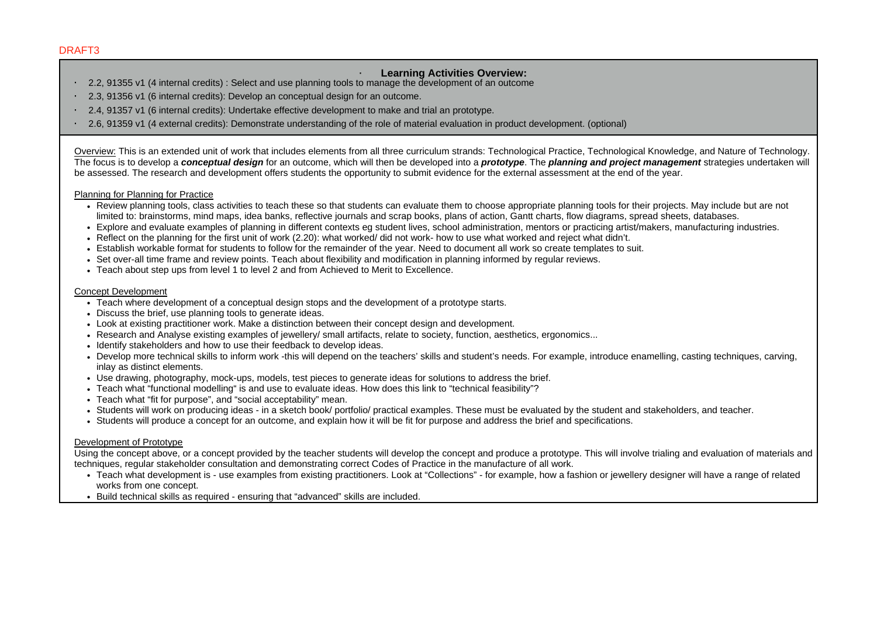## · **Learning Activities Overview:**

- · 2.2, 91355 v1 (4 internal credits) : Select and use planning tools to manage the development of an outcome
- · 2.3, 91356 v1 (6 internal credits): Develop an conceptual design for an outcome.
- · 2.4, 91357 v1 (6 internal credits): Undertake effective development to make and trial an prototype.
- · 2.6, 91359 v1 (4 external credits): Demonstrate understanding of the role of material evaluation in product development. (optional)

Overview: This is an extended unit of work that includes elements from all three curriculum strands: Technological Practice, Technological Knowledge, and Nature of Technology. The focus is to develop a *conceptual design* for an outcome, which will then be developed into a *prototype*. The *planning and project management* strategies undertaken will be assessed. The research and development offers students the opportunity to submit evidence for the external assessment at the end of the year.

#### Planning for Planning for Practice

- Review planning tools, class activities to teach these so that students can evaluate them to choose appropriate planning tools for their projects. May include but are not limited to: brainstorms, mind maps, idea banks, reflective journals and scrap books, plans of action. Gantt charts, flow diagrams, spread sheets, databases,
- Explore and evaluate examples of planning in different contexts eg student lives, school administration, mentors or practicing artist/makers, manufacturing industries.
- Reflect on the planning for the first unit of work (2.20): what worked/ did not work- how to use what worked and reject what didn't.
- Establish workable format for students to follow for the remainder of the year. Need to document all work so create templates to suit.
- Set over-all time frame and review points. Teach about flexibility and modification in planning informed by regular reviews.
- Teach about step ups from level 1 to level 2 and from Achieved to Merit to Excellence.

#### Concept Development

- Teach where development of a conceptual design stops and the development of a prototype starts.
- Discuss the brief, use planning tools to generate ideas.
- Look at existing practitioner work. Make a distinction between their concept design and development.
- Research and Analyse existing examples of jewellery/ small artifacts, relate to society, function, aesthetics, ergonomics...
- Identify stakeholders and how to use their feedback to develop ideas.
- Develop more technical skills to inform work -this will depend on the teachers' skills and student's needs. For example, introduce enamelling, casting techniques, carving, inlay as distinct elements.
- Use drawing, photography, mock-ups, models, test pieces to generate ideas for solutions to address the brief.
- Teach what "functional modelling" is and use to evaluate ideas. How does this link to "technical feasibility"?
- Teach what "fit for purpose", and "social acceptability" mean.
- Students will work on producing ideas in a sketch book/ portfolio/ practical examples. These must be evaluated by the student and stakeholders, and teacher.
- Students will produce a concept for an outcome, and explain how it will be fit for purpose and address the brief and specifications.

## Development of Prototype

Using the concept above, or a concept provided by the teacher students will develop the concept and produce a prototype. This will involve trialing and evaluation of materials and techniques, regular stakeholder consultation and demonstrating correct Codes of Practice in the manufacture of all work.

- Teach what development is use examples from existing practitioners. Look at "Collections" for example, how a fashion or jewellery designer will have a range of related works from one concept.
- Build technical skills as required ensuring that "advanced" skills are included.